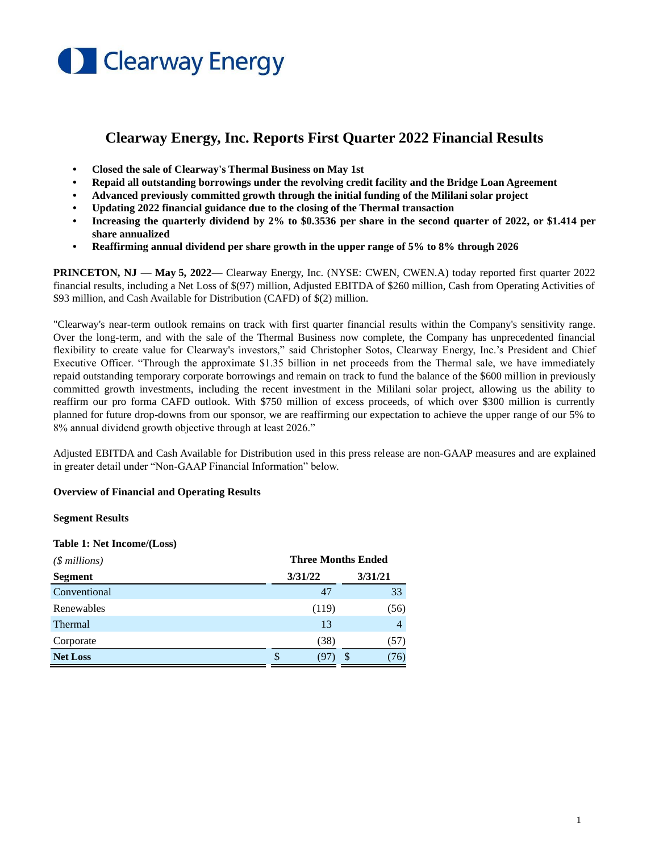

# **Clearway Energy, Inc. Reports First Quarter 2022 Financial Results**

- **• Closed the sale of Clearway's Thermal Business on May 1st**
- **• Repaid all outstanding borrowings under the revolving credit facility and the Bridge Loan Agreement**
- **• Advanced previously committed growth through the initial funding of the Mililani solar project**
- **• Updating 2022 financial guidance due to the closing of the Thermal transaction**
- **• Increasing the quarterly dividend by 2% to \$0.3536 per share in the second quarter of 2022, or \$1.414 per share annualized**
- **• Reaffirming annual dividend per share growth in the upper range of 5% to 8% through 2026**

**PRINCETON, NJ — May 5, 2022— Clearway Energy, Inc. (NYSE: CWEN, CWEN.A) today reported first quarter 2022** financial results, including a Net Loss of \$(97) million, Adjusted EBITDA of \$260 million, Cash from Operating Activities of \$93 million, and Cash Available for Distribution (CAFD) of \$(2) million.

"Clearway's near-term outlook remains on track with first quarter financial results within the Company's sensitivity range. Over the long-term, and with the sale of the Thermal Business now complete, the Company has unprecedented financial flexibility to create value for Clearway's investors," said Christopher Sotos, Clearway Energy, Inc.'s President and Chief Executive Officer. "Through the approximate \$1.35 billion in net proceeds from the Thermal sale, we have immediately repaid outstanding temporary corporate borrowings and remain on track to fund the balance of the \$600 million in previously committed growth investments, including the recent investment in the Mililani solar project, allowing us the ability to reaffirm our pro forma CAFD outlook. With \$750 million of excess proceeds, of which over \$300 million is currently planned for future drop-downs from our sponsor, we are reaffirming our expectation to achieve the upper range of our 5% to 8% annual dividend growth objective through at least 2026."

Adjusted EBITDA and Cash Available for Distribution used in this press release are non-GAAP measures and are explained in greater detail under "Non-GAAP Financial Information" below.

### **Overview of Financial and Operating Results**

#### **Segment Results**

#### **Table 1: Net Income/(Loss)**

| ( <i>§ millions</i> ) | <b>Three Months Ended</b> |                 |  |  |
|-----------------------|---------------------------|-----------------|--|--|
| <b>Segment</b>        | 3/31/22                   | 3/31/21         |  |  |
| Conventional          | 47                        | 33              |  |  |
| Renewables            | (119)                     | (56)            |  |  |
| Thermal               | 13                        | 4               |  |  |
| Corporate             | (38)                      | 57)             |  |  |
| <b>Net Loss</b>       | S<br>(97)                 | <b>S</b><br>76) |  |  |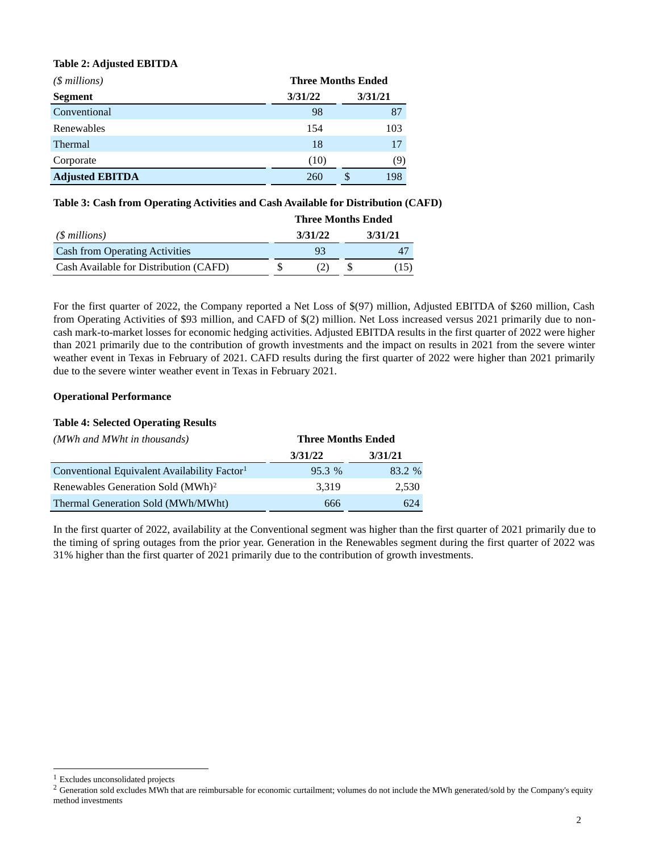### **Table 2: Adjusted EBITDA**

| ( <i> millions</i> )   | <b>Three Months Ended</b> |   |         |  |
|------------------------|---------------------------|---|---------|--|
| <b>Segment</b>         | 3/31/22                   |   | 3/31/21 |  |
| Conventional           | 98                        |   | 87      |  |
| Renewables             | 154                       |   | 103     |  |
| <b>Thermal</b>         | 18                        |   | 17      |  |
| Corporate              | (10)                      |   | (9)     |  |
| <b>Adjusted EBITDA</b> | 260                       | S | 198     |  |

### **Table 3: Cash from Operating Activities and Cash Available for Distribution (CAFD)**

|                                        | <b>Three Months Ended</b> |         |  |         |
|----------------------------------------|---------------------------|---------|--|---------|
| $(S$ millions)                         |                           | 3/31/22 |  | 3/31/21 |
| <b>Cash from Operating Activities</b>  |                           | 93      |  |         |
| Cash Available for Distribution (CAFD) |                           | (2)     |  | (15)    |

For the first quarter of 2022, the Company reported a Net Loss of \$(97) million, Adjusted EBITDA of \$260 million, Cash from Operating Activities of \$93 million, and CAFD of \$(2) million. Net Loss increased versus 2021 primarily due to noncash mark-to-market losses for economic hedging activities. Adjusted EBITDA results in the first quarter of 2022 were higher than 2021 primarily due to the contribution of growth investments and the impact on results in 2021 from the severe winter weather event in Texas in February of 2021. CAFD results during the first quarter of 2022 were higher than 2021 primarily due to the severe winter weather event in Texas in February 2021.

### **Operational Performance**

## **Table 4: Selected Operating Results**

| (MWh and MWht in thousands)                              | <b>Three Months Ended</b> |         |  |
|----------------------------------------------------------|---------------------------|---------|--|
|                                                          | 3/31/22                   | 3/31/21 |  |
| Conventional Equivalent Availability Factor <sup>1</sup> | 95.3 %                    | 83.2 %  |  |
| Renewables Generation Sold (MWh) <sup>2</sup>            | 3.319                     | 2.530   |  |
| Thermal Generation Sold (MWh/MWht)                       | 666                       | 624     |  |

In the first quarter of 2022, availability at the Conventional segment was higher than the first quarter of 2021 primarily due to the timing of spring outages from the prior year. Generation in the Renewables segment during the first quarter of 2022 was 31% higher than the first quarter of 2021 primarily due to the contribution of growth investments.

<sup>&</sup>lt;sup>1</sup> Excludes unconsolidated projects

<sup>&</sup>lt;sup>2</sup> Generation sold excludes MWh that are reimbursable for economic curtailment; volumes do not include the MWh generated/sold by the Company's equity method investments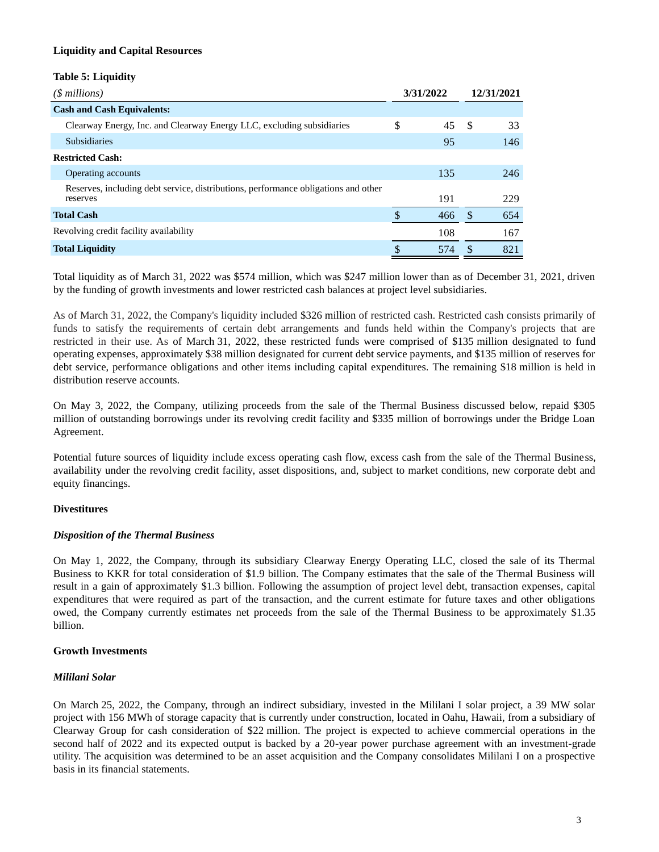### **Liquidity and Capital Resources**

## **Table 5: Liquidity**

| $(\text{\$millions})$                                                                          | 3/31/2022 |     | 12/31/2021 |     |
|------------------------------------------------------------------------------------------------|-----------|-----|------------|-----|
| <b>Cash and Cash Equivalents:</b>                                                              |           |     |            |     |
| Clearway Energy, Inc. and Clearway Energy LLC, excluding subsidiaries                          | \$        | 45  | -\$        | 33  |
| <b>Subsidiaries</b>                                                                            |           | 95  |            | 146 |
| <b>Restricted Cash:</b>                                                                        |           |     |            |     |
| Operating accounts                                                                             |           | 135 |            | 246 |
| Reserves, including debt service, distributions, performance obligations and other<br>reserves |           | 191 |            | 229 |
| <b>Total Cash</b>                                                                              |           | 466 | S          | 654 |
| Revolving credit facility availability                                                         |           | 108 |            | 167 |
| <b>Total Liquidity</b>                                                                         | \$        | 574 | S          | 821 |

Total liquidity as of March 31, 2022 was \$574 million, which was \$247 million lower than as of December 31, 2021, driven by the funding of growth investments and lower restricted cash balances at project level subsidiaries.

As of March 31, 2022, the Company's liquidity included \$326 million of restricted cash. Restricted cash consists primarily of funds to satisfy the requirements of certain debt arrangements and funds held within the Company's projects that are restricted in their use. As of March 31, 2022, these restricted funds were comprised of \$135 million designated to fund operating expenses, approximately \$38 million designated for current debt service payments, and \$135 million of reserves for debt service, performance obligations and other items including capital expenditures. The remaining \$18 million is held in distribution reserve accounts.

On May 3, 2022, the Company, utilizing proceeds from the sale of the Thermal Business discussed below, repaid \$305 million of outstanding borrowings under its revolving credit facility and \$335 million of borrowings under the Bridge Loan Agreement.

Potential future sources of liquidity include excess operating cash flow, excess cash from the sale of the Thermal Business, availability under the revolving credit facility, asset dispositions, and, subject to market conditions, new corporate debt and equity financings.

### **Divestitures**

### *Disposition of the Thermal Business*

On May 1, 2022, the Company, through its subsidiary Clearway Energy Operating LLC, closed the sale of its Thermal Business to KKR for total consideration of \$1.9 billion. The Company estimates that the sale of the Thermal Business will result in a gain of approximately \$1.3 billion. Following the assumption of project level debt, transaction expenses, capital expenditures that were required as part of the transaction, and the current estimate for future taxes and other obligations owed, the Company currently estimates net proceeds from the sale of the Thermal Business to be approximately \$1.35 billion.

### **Growth Investments**

### *Mililani Solar*

On March 25, 2022, the Company, through an indirect subsidiary, invested in the Mililani I solar project, a 39 MW solar project with 156 MWh of storage capacity that is currently under construction, located in Oahu, Hawaii, from a subsidiary of Clearway Group for cash consideration of \$22 million. The project is expected to achieve commercial operations in the second half of 2022 and its expected output is backed by a 20-year power purchase agreement with an investment-grade utility. The acquisition was determined to be an asset acquisition and the Company consolidates Mililani I on a prospective basis in its financial statements.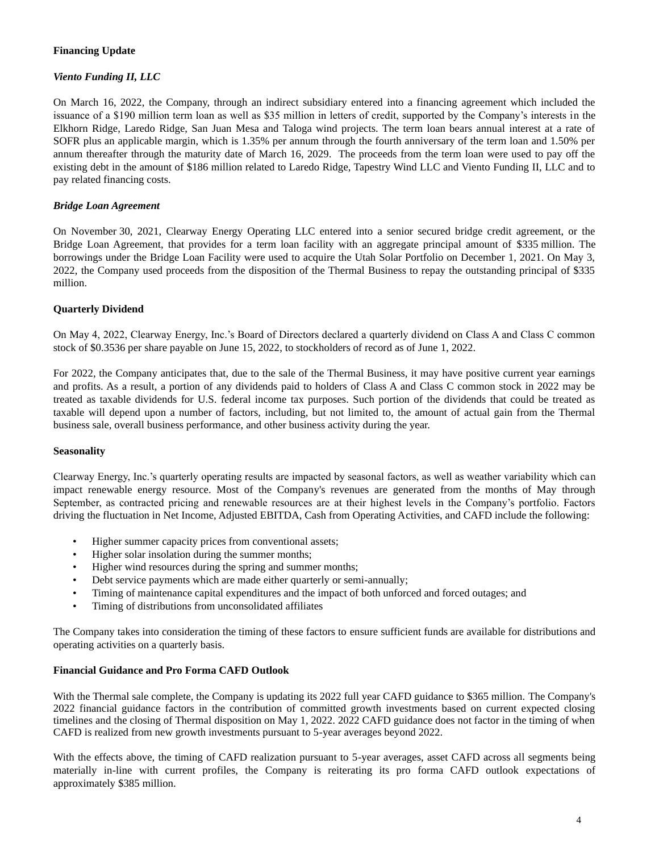## **Financing Update**

## *Viento Funding II, LLC*

On March 16, 2022, the Company, through an indirect subsidiary entered into a financing agreement which included the issuance of a \$190 million term loan as well as \$35 million in letters of credit, supported by the Company's interests in the Elkhorn Ridge, Laredo Ridge, San Juan Mesa and Taloga wind projects. The term loan bears annual interest at a rate of SOFR plus an applicable margin, which is 1.35% per annum through the fourth anniversary of the term loan and 1.50% per annum thereafter through the maturity date of March 16, 2029. The proceeds from the term loan were used to pay off the existing debt in the amount of \$186 million related to Laredo Ridge, Tapestry Wind LLC and Viento Funding II, LLC and to pay related financing costs.

### *Bridge Loan Agreement*

On November 30, 2021, Clearway Energy Operating LLC entered into a senior secured bridge credit agreement, or the Bridge Loan Agreement, that provides for a term loan facility with an aggregate principal amount of \$335 million. The borrowings under the Bridge Loan Facility were used to acquire the Utah Solar Portfolio on December 1, 2021. On May 3, 2022, the Company used proceeds from the disposition of the Thermal Business to repay the outstanding principal of \$335 million.

## **Quarterly Dividend**

On May 4, 2022, Clearway Energy, Inc.'s Board of Directors declared a quarterly dividend on Class A and Class C common stock of \$0.3536 per share payable on June 15, 2022, to stockholders of record as of June 1, 2022.

For 2022, the Company anticipates that, due to the sale of the Thermal Business, it may have positive current year earnings and profits. As a result, a portion of any dividends paid to holders of Class A and Class C common stock in 2022 may be treated as taxable dividends for U.S. federal income tax purposes. Such portion of the dividends that could be treated as taxable will depend upon a number of factors, including, but not limited to, the amount of actual gain from the Thermal business sale, overall business performance, and other business activity during the year.

### **Seasonality**

Clearway Energy, Inc.'s quarterly operating results are impacted by seasonal factors, as well as weather variability which can impact renewable energy resource. Most of the Company's revenues are generated from the months of May through September, as contracted pricing and renewable resources are at their highest levels in the Company's portfolio. Factors driving the fluctuation in Net Income, Adjusted EBITDA, Cash from Operating Activities, and CAFD include the following:

- Higher summer capacity prices from conventional assets;
- Higher solar insolation during the summer months;
- Higher wind resources during the spring and summer months;
- Debt service payments which are made either quarterly or semi-annually;
- Timing of maintenance capital expenditures and the impact of both unforced and forced outages; and
- Timing of distributions from unconsolidated affiliates

The Company takes into consideration the timing of these factors to ensure sufficient funds are available for distributions and operating activities on a quarterly basis.

### **Financial Guidance and Pro Forma CAFD Outlook**

With the Thermal sale complete, the Company is updating its 2022 full year CAFD guidance to \$365 million. The Company's 2022 financial guidance factors in the contribution of committed growth investments based on current expected closing timelines and the closing of Thermal disposition on May 1, 2022. 2022 CAFD guidance does not factor in the timing of when CAFD is realized from new growth investments pursuant to 5-year averages beyond 2022.

With the effects above, the timing of CAFD realization pursuant to 5-year averages, asset CAFD across all segments being materially in-line with current profiles, the Company is reiterating its pro forma CAFD outlook expectations of approximately \$385 million.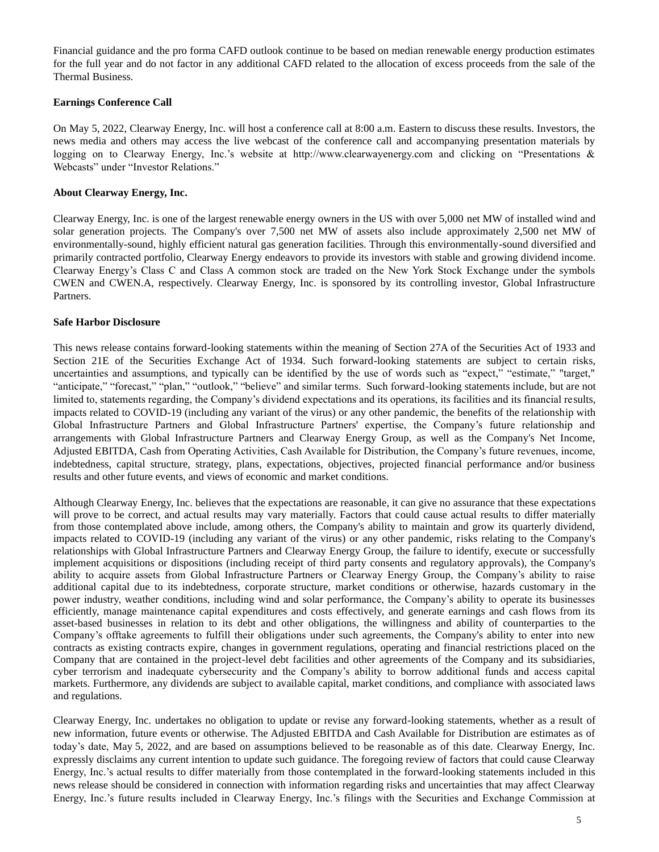Financial guidance and the pro forma CAFD outlook continue to be based on median renewable energy production estimates for the full year and do not factor in any additional CAFD related to the allocation of excess proceeds from the sale of the Thermal Business.

#### **Earnings Conference Call**

On May 5, 2022, Clearway Energy, Inc. will host a conference call at 8:00 a.m. Eastern to discuss these results. Investors, the news media and others may access the live webcast of the conference call and accompanying presentation materials by logging on to Clearway Energy, Inc.'s website at http://www.clearwayenergy.com and clicking on "Presentations & Webcasts" under "Investor Relations."

#### **About Clearway Energy, Inc.**

Clearway Energy, Inc. is one of the largest renewable energy owners in the US with over 5,000 net MW of installed wind and solar generation projects. The Company's over 7,500 net MW of assets also include approximately 2,500 net MW of environmentally-sound, highly efficient natural gas generation facilities. Through this environmentally-sound diversified and primarily contracted portfolio, Clearway Energy endeavors to provide its investors with stable and growing dividend income. Clearway Energy's Class C and Class A common stock are traded on the New York Stock Exchange under the symbols CWEN and CWEN.A, respectively. Clearway Energy, Inc. is sponsored by its controlling investor, Global Infrastructure Partners.

#### **Safe Harbor Disclosure**

This news release contains forward-looking statements within the meaning of Section 27A of the Securities Act of 1933 and Section 21E of the Securities Exchange Act of 1934. Such forward-looking statements are subject to certain risks, uncertainties and assumptions, and typically can be identified by the use of words such as "expect," "estimate," "target," "anticipate," "forecast," "plan," "outlook," "believe" and similar terms. Such forward-looking statements include, but are not limited to, statements regarding, the Company's dividend expectations and its operations, its facilities and its financial results, impacts related to COVID-19 (including any variant of the virus) or any other pandemic, the benefits of the relationship with Global Infrastructure Partners and Global Infrastructure Partners' expertise, the Company's future relationship and arrangements with Global Infrastructure Partners and Clearway Energy Group, as well as the Company's Net Income, Adjusted EBITDA, Cash from Operating Activities, Cash Available for Distribution, the Company's future revenues, income, indebtedness, capital structure, strategy, plans, expectations, objectives, projected financial performance and/or business results and other future events, and views of economic and market conditions.

Although Clearway Energy, Inc. believes that the expectations are reasonable, it can give no assurance that these expectations will prove to be correct, and actual results may vary materially. Factors that could cause actual results to differ materially from those contemplated above include, among others, the Company's ability to maintain and grow its quarterly dividend, impacts related to COVID-19 (including any variant of the virus) or any other pandemic, risks relating to the Company's relationships with Global Infrastructure Partners and Clearway Energy Group, the failure to identify, execute or successfully implement acquisitions or dispositions (including receipt of third party consents and regulatory approvals), the Company's ability to acquire assets from Global Infrastructure Partners or Clearway Energy Group, the Company's ability to raise additional capital due to its indebtedness, corporate structure, market conditions or otherwise, hazards customary in the power industry, weather conditions, including wind and solar performance, the Company's ability to operate its businesses efficiently, manage maintenance capital expenditures and costs effectively, and generate earnings and cash flows from its asset-based businesses in relation to its debt and other obligations, the willingness and ability of counterparties to the Company's offtake agreements to fulfill their obligations under such agreements, the Company's ability to enter into new contracts as existing contracts expire, changes in government regulations, operating and financial restrictions placed on the Company that are contained in the project-level debt facilities and other agreements of the Company and its subsidiaries, cyber terrorism and inadequate cybersecurity and the Company's ability to borrow additional funds and access capital markets. Furthermore, any dividends are subject to available capital, market conditions, and compliance with associated laws and regulations.

Clearway Energy, Inc. undertakes no obligation to update or revise any forward-looking statements, whether as a result of new information, future events or otherwise. The Adjusted EBITDA and Cash Available for Distribution are estimates as of today's date, May 5, 2022, and are based on assumptions believed to be reasonable as of this date. Clearway Energy, Inc. expressly disclaims any current intention to update such guidance. The foregoing review of factors that could cause Clearway Energy, Inc.'s actual results to differ materially from those contemplated in the forward-looking statements included in this news release should be considered in connection with information regarding risks and uncertainties that may affect Clearway Energy, Inc.'s future results included in Clearway Energy, Inc.'s filings with the Securities and Exchange Commission at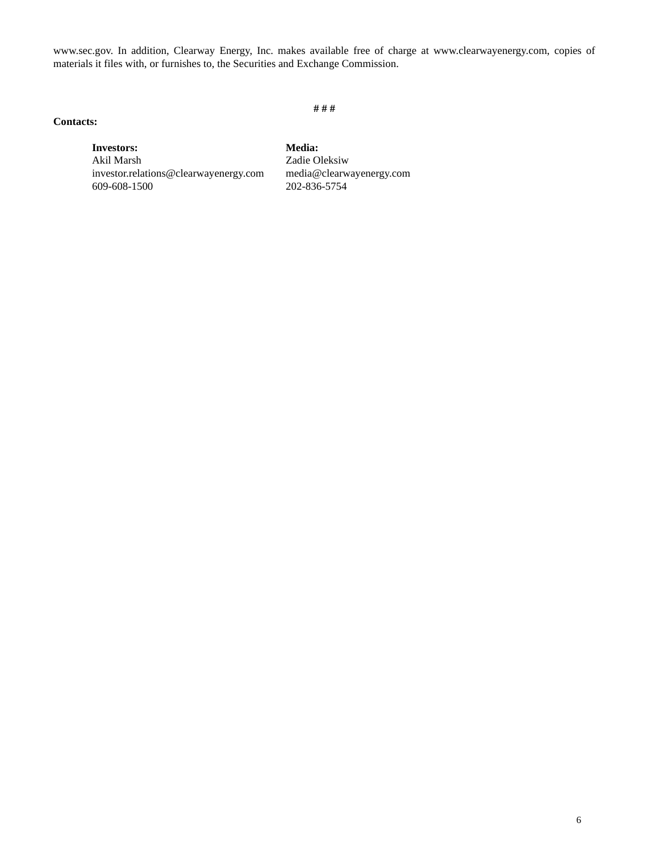www.sec.gov. In addition, Clearway Energy, Inc. makes available free of charge at www.clearwayenergy.com, copies of materials it files with, or furnishes to, the Securities and Exchange Commission.

#### **# # #**

## **Contacts:**

**Investors: Media:** Akil Marsh Zadie Oleksiw investor.relations@clearwayenergy.com media@clearwayenergy.com 609-608-1500 202-836-5754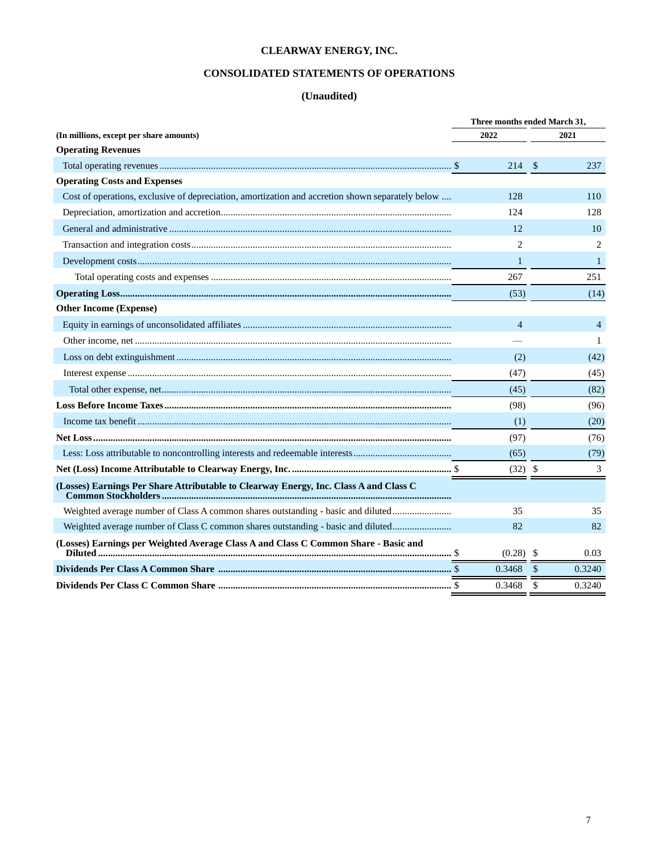## **CONSOLIDATED STATEMENTS OF OPERATIONS**

|                                                                                                  | Three months ended March 31, |           |                |  |  |
|--------------------------------------------------------------------------------------------------|------------------------------|-----------|----------------|--|--|
| (In millions, except per share amounts)                                                          | 2022                         |           | 2021           |  |  |
| <b>Operating Revenues</b>                                                                        |                              |           |                |  |  |
|                                                                                                  |                              | 214S      | 237            |  |  |
| <b>Operating Costs and Expenses</b>                                                              |                              |           |                |  |  |
| Cost of operations, exclusive of depreciation, amortization and accretion shown separately below | 128                          |           | 110            |  |  |
|                                                                                                  | 124                          |           | 128            |  |  |
|                                                                                                  | 12                           |           | 10             |  |  |
|                                                                                                  | $\overline{c}$               |           | $\overline{2}$ |  |  |
|                                                                                                  | $\mathbf{1}$                 |           | $\mathbf{1}$   |  |  |
|                                                                                                  | 267                          |           | 251            |  |  |
|                                                                                                  | (53)                         |           | (14)           |  |  |
| <b>Other Income (Expense)</b>                                                                    |                              |           |                |  |  |
|                                                                                                  | $\overline{4}$               |           | $\overline{4}$ |  |  |
|                                                                                                  |                              |           | 1              |  |  |
|                                                                                                  | (2)                          |           | (42)           |  |  |
|                                                                                                  | (47)                         |           | (45)           |  |  |
|                                                                                                  | (45)                         |           | (82)           |  |  |
|                                                                                                  | (98)                         |           | (96)           |  |  |
|                                                                                                  | (1)                          |           | (20)           |  |  |
|                                                                                                  | (97)                         |           | (76)           |  |  |
|                                                                                                  | (65)                         |           | (79)           |  |  |
|                                                                                                  |                              | $(32)$ \$ | 3              |  |  |
| (Losses) Earnings Per Share Attributable to Clearway Energy, Inc. Class A and Class C            |                              |           |                |  |  |
| Weighted average number of Class A common shares outstanding - basic and diluted                 | 35                           |           | 35             |  |  |
| Weighted average number of Class C common shares outstanding - basic and diluted                 | 82                           |           | 82             |  |  |
| (Losses) Earnings per Weighted Average Class A and Class C Common Share - Basic and              | $(0.28)$ \$                  |           | 0.03           |  |  |
|                                                                                                  | 0.3468                       | - \$      | 0.3240         |  |  |
|                                                                                                  | 0.3468                       | - \$      | 0.3240         |  |  |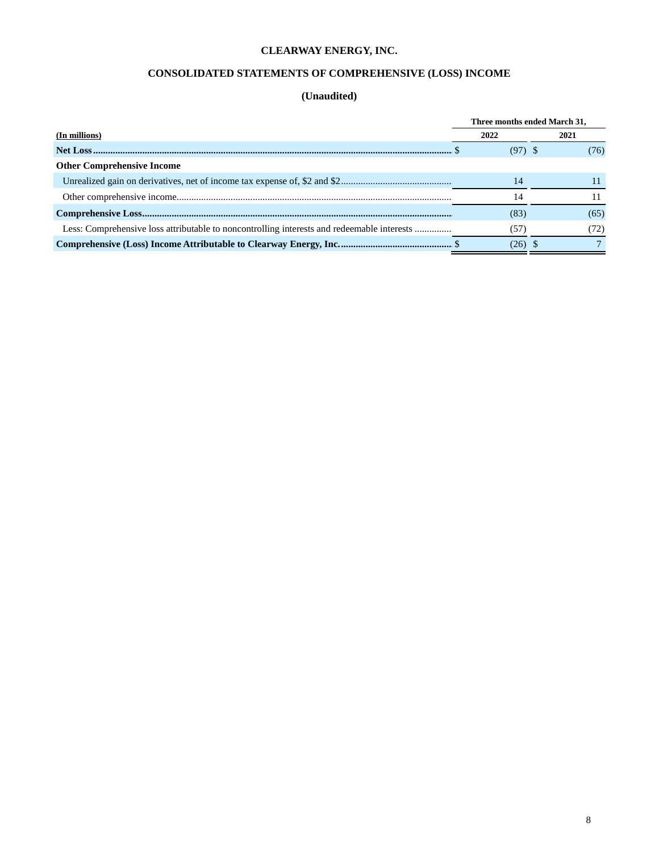# **CONSOLIDATED STATEMENTS OF COMPREHENSIVE (LOSS) INCOME**

|                                                                                            |           | Three months ended March 31, |  |  |
|--------------------------------------------------------------------------------------------|-----------|------------------------------|--|--|
| (In millions)                                                                              | 2022      | 2021                         |  |  |
|                                                                                            | $(97)$ \$ | (76)                         |  |  |
| <b>Other Comprehensive Income</b>                                                          |           |                              |  |  |
|                                                                                            | 14        |                              |  |  |
|                                                                                            | 4         |                              |  |  |
|                                                                                            | (83)      | (65)                         |  |  |
| Less: Comprehensive loss attributable to noncontrolling interests and redeemable interests | (57)      | (72)                         |  |  |
|                                                                                            | $(26)$ \$ |                              |  |  |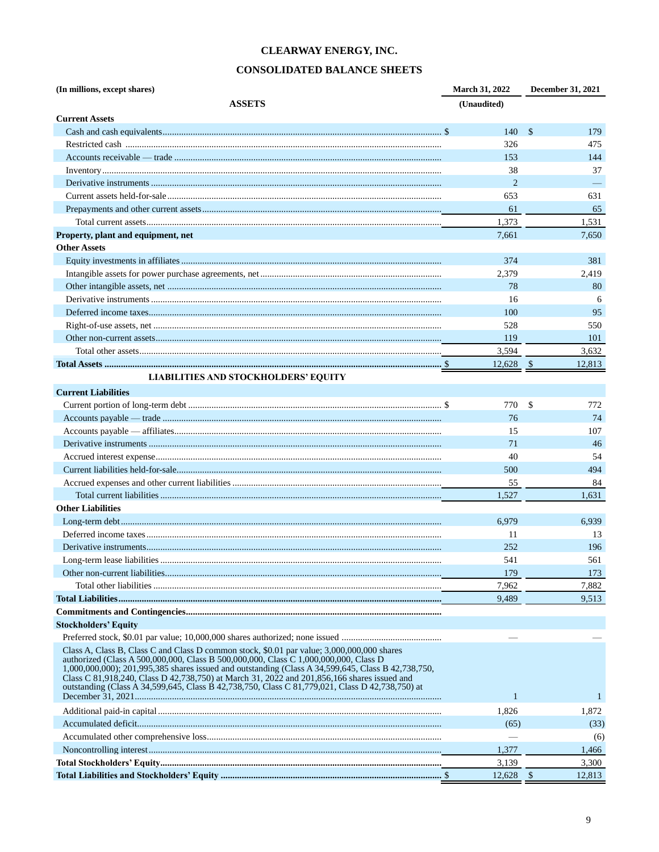# **CONSOLIDATED BALANCE SHEETS**

| (In millions, except shares)                                                                                                                                                                                                                                                                                                                                                                                                                                                               | March 31, 2022 | December 31, 2021    |
|--------------------------------------------------------------------------------------------------------------------------------------------------------------------------------------------------------------------------------------------------------------------------------------------------------------------------------------------------------------------------------------------------------------------------------------------------------------------------------------------|----------------|----------------------|
| <b>ASSETS</b>                                                                                                                                                                                                                                                                                                                                                                                                                                                                              | (Unaudited)    |                      |
| <b>Current Assets</b>                                                                                                                                                                                                                                                                                                                                                                                                                                                                      |                |                      |
|                                                                                                                                                                                                                                                                                                                                                                                                                                                                                            | 140            | -\$<br>179           |
|                                                                                                                                                                                                                                                                                                                                                                                                                                                                                            | 326            | 475                  |
|                                                                                                                                                                                                                                                                                                                                                                                                                                                                                            | 153            | 144                  |
|                                                                                                                                                                                                                                                                                                                                                                                                                                                                                            | 38             | 37                   |
|                                                                                                                                                                                                                                                                                                                                                                                                                                                                                            | 2              |                      |
|                                                                                                                                                                                                                                                                                                                                                                                                                                                                                            | 653            | 631                  |
|                                                                                                                                                                                                                                                                                                                                                                                                                                                                                            | 61             | 65                   |
|                                                                                                                                                                                                                                                                                                                                                                                                                                                                                            | 1,373          | 1,531                |
| Property, plant and equipment, net                                                                                                                                                                                                                                                                                                                                                                                                                                                         | 7,661          | 7,650                |
| <b>Other Assets</b>                                                                                                                                                                                                                                                                                                                                                                                                                                                                        |                |                      |
|                                                                                                                                                                                                                                                                                                                                                                                                                                                                                            | 374            | 381                  |
|                                                                                                                                                                                                                                                                                                                                                                                                                                                                                            |                |                      |
|                                                                                                                                                                                                                                                                                                                                                                                                                                                                                            | 2,379          | 2,419<br>80          |
|                                                                                                                                                                                                                                                                                                                                                                                                                                                                                            | 78             |                      |
|                                                                                                                                                                                                                                                                                                                                                                                                                                                                                            | 16             | 6                    |
|                                                                                                                                                                                                                                                                                                                                                                                                                                                                                            | 100            | 95                   |
|                                                                                                                                                                                                                                                                                                                                                                                                                                                                                            | 528            | 550                  |
|                                                                                                                                                                                                                                                                                                                                                                                                                                                                                            | 119            | 101                  |
|                                                                                                                                                                                                                                                                                                                                                                                                                                                                                            | 3,594          | 3,632                |
|                                                                                                                                                                                                                                                                                                                                                                                                                                                                                            | $12,628$ \$    | 12,813               |
| <b>LIABILITIES AND STOCKHOLDERS' EQUITY</b>                                                                                                                                                                                                                                                                                                                                                                                                                                                |                |                      |
| <b>Current Liabilities</b>                                                                                                                                                                                                                                                                                                                                                                                                                                                                 |                |                      |
|                                                                                                                                                                                                                                                                                                                                                                                                                                                                                            | 770            | $\mathcal{S}$<br>772 |
|                                                                                                                                                                                                                                                                                                                                                                                                                                                                                            | 76             | 74                   |
|                                                                                                                                                                                                                                                                                                                                                                                                                                                                                            | 15             | 107                  |
|                                                                                                                                                                                                                                                                                                                                                                                                                                                                                            | 71             | 46                   |
|                                                                                                                                                                                                                                                                                                                                                                                                                                                                                            | 40             | 54                   |
|                                                                                                                                                                                                                                                                                                                                                                                                                                                                                            | 500            | 494                  |
|                                                                                                                                                                                                                                                                                                                                                                                                                                                                                            | 55             | 84                   |
|                                                                                                                                                                                                                                                                                                                                                                                                                                                                                            | 1,527          | 1,631                |
| <b>Other Liabilities</b>                                                                                                                                                                                                                                                                                                                                                                                                                                                                   |                |                      |
|                                                                                                                                                                                                                                                                                                                                                                                                                                                                                            | 6,979          | 6,939                |
|                                                                                                                                                                                                                                                                                                                                                                                                                                                                                            | 11             | 13                   |
|                                                                                                                                                                                                                                                                                                                                                                                                                                                                                            | 252            | 196                  |
|                                                                                                                                                                                                                                                                                                                                                                                                                                                                                            | 541            | 561                  |
|                                                                                                                                                                                                                                                                                                                                                                                                                                                                                            | 179            | 173                  |
|                                                                                                                                                                                                                                                                                                                                                                                                                                                                                            | 7,962          | 7,882                |
|                                                                                                                                                                                                                                                                                                                                                                                                                                                                                            | 9,489          | 9,513                |
|                                                                                                                                                                                                                                                                                                                                                                                                                                                                                            |                |                      |
| <b>Stockholders' Equity</b>                                                                                                                                                                                                                                                                                                                                                                                                                                                                |                |                      |
|                                                                                                                                                                                                                                                                                                                                                                                                                                                                                            |                |                      |
| Class A, Class B, Class C and Class D common stock, \$0.01 par value; 3,000,000,000 shares<br>authorized (Class A 500,000,000, Class B 500,000,000, Class C 1,000,000,000, Class D<br>1,000,000,000); 201,995,385 shares issued and outstanding (Class A 34,599,645, Class B 42,738,750,<br>Class C 81,918,240, Class D 42,738,750) at March 31, 2022 and 201,856,166 shares issued and<br>outstanding (Class A 34,599,645, Class B 42,738,750, Class C 81,779,021, Class D 42,738,750) at |                |                      |
|                                                                                                                                                                                                                                                                                                                                                                                                                                                                                            | $\mathbf{1}$   | $\overline{1}$       |
|                                                                                                                                                                                                                                                                                                                                                                                                                                                                                            | 1,826          | 1,872                |
|                                                                                                                                                                                                                                                                                                                                                                                                                                                                                            | (65)           | (33)                 |
|                                                                                                                                                                                                                                                                                                                                                                                                                                                                                            |                | (6)                  |
|                                                                                                                                                                                                                                                                                                                                                                                                                                                                                            | 1,377          | 1,466                |
|                                                                                                                                                                                                                                                                                                                                                                                                                                                                                            | 3,139          | 3,300                |
|                                                                                                                                                                                                                                                                                                                                                                                                                                                                                            | 12,628         | 12,813<br>- \$       |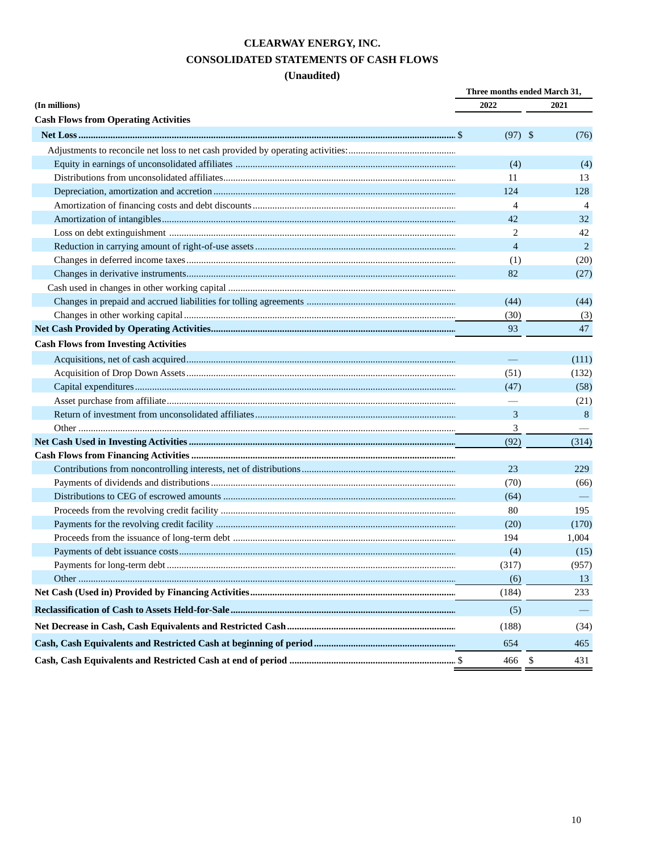# **CLEARWAY ENERGY, INC. CONSOLIDATED STATEMENTS OF CASH FLOWS**

|                                             |                | Three months ended March 31, |  |
|---------------------------------------------|----------------|------------------------------|--|
| (In millions)                               | 2022           | 2021                         |  |
| <b>Cash Flows from Operating Activities</b> |                |                              |  |
|                                             | $(97)$ \$      | (76)                         |  |
|                                             |                |                              |  |
|                                             | (4)            | (4)                          |  |
|                                             | 11             | 13                           |  |
|                                             | 124            | 128                          |  |
|                                             | 4              | $\overline{4}$               |  |
|                                             | 42             | 32                           |  |
|                                             | 2              | 42                           |  |
|                                             | $\overline{4}$ | 2                            |  |
|                                             | (1)            | (20)                         |  |
|                                             | 82             | (27)                         |  |
|                                             |                |                              |  |
|                                             | (44)           | (44)                         |  |
|                                             | (30)           | (3)                          |  |
|                                             | 93             | 47                           |  |
| <b>Cash Flows from Investing Activities</b> |                |                              |  |
|                                             |                | (111)                        |  |
|                                             | (51)           | (132)                        |  |
|                                             | (47)           | (58)                         |  |
|                                             |                | (21)                         |  |
|                                             | 3              | 8                            |  |
|                                             | 3              |                              |  |
|                                             | (92)           | (314)                        |  |
|                                             |                |                              |  |
|                                             | 23             | 229                          |  |
|                                             | (70)           | (66)                         |  |
|                                             | (64)           |                              |  |
|                                             | 80             | 195                          |  |
|                                             | (20)           | (170)                        |  |
|                                             | 194            | 1,004                        |  |
|                                             | (4)            | (15)                         |  |
|                                             | (317)          | (957)                        |  |
|                                             | (6)            | 13                           |  |
|                                             | (184)          | 233                          |  |
|                                             | (5)            |                              |  |
|                                             | (188)          | (34)                         |  |
|                                             | 654            | 465                          |  |
|                                             | 466            | <sup>\$</sup><br>431         |  |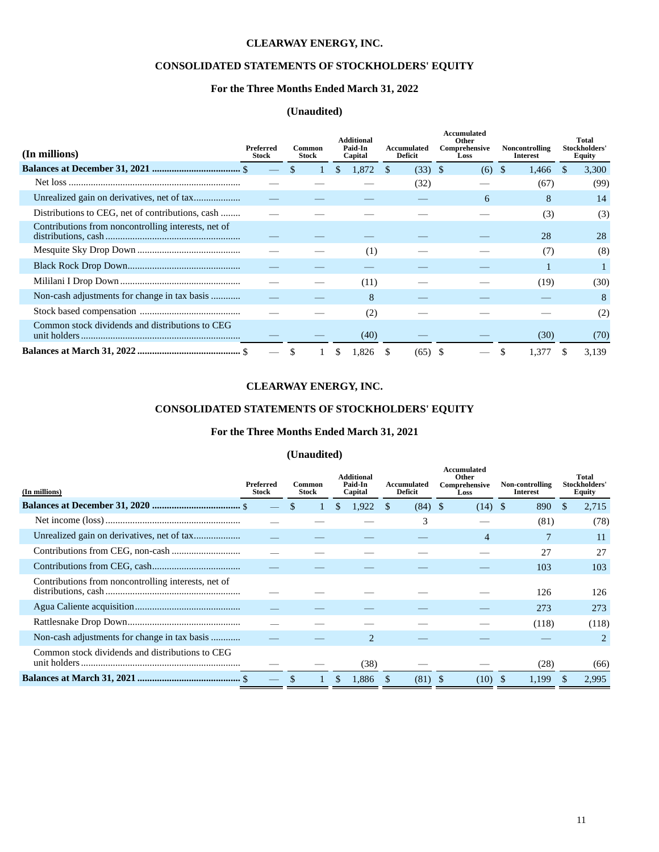# **CONSOLIDATED STATEMENTS OF STOCKHOLDERS' EQUITY**

## **For the Three Months Ended March 31, 2022**

## **(Unaudited)**

| (In millions)                                       | Preferred<br><b>Stock</b> | Common<br>Stock | <b>Additional</b><br>Paid-In<br>Capital | Accumulated<br>Deficit | Accumulated<br>Other<br>Comprehensive<br>Loss | Noncontrolling<br><b>Interest</b> | Total<br>Stockholders'<br>Equity |
|-----------------------------------------------------|---------------------------|-----------------|-----------------------------------------|------------------------|-----------------------------------------------|-----------------------------------|----------------------------------|
|                                                     |                           |                 | 1.872                                   | $(33)$ \$              | (6)                                           | <sup>\$</sup><br>1,466            | 3,300                            |
|                                                     |                           |                 |                                         | (32)                   |                                               | (67)                              | (99)                             |
|                                                     |                           |                 |                                         |                        | 6                                             | 8                                 | 14                               |
| Distributions to CEG, net of contributions, cash    |                           |                 |                                         |                        |                                               | (3)                               | (3)                              |
| Contributions from noncontrolling interests, net of |                           |                 |                                         |                        |                                               | 28                                | 28                               |
|                                                     |                           |                 | (1)                                     |                        |                                               | (7)                               | (8)                              |
|                                                     |                           |                 |                                         |                        |                                               |                                   |                                  |
|                                                     |                           |                 | (11)                                    |                        |                                               | (19)                              | (30)                             |
| Non-cash adjustments for change in tax basis        |                           |                 | 8                                       |                        |                                               |                                   | 8                                |
|                                                     |                           |                 | (2)                                     |                        |                                               |                                   | (2)                              |
| Common stock dividends and distributions to CEG     |                           |                 | (40)                                    |                        |                                               | (30)                              | (70)                             |
|                                                     |                           |                 | 1.826                                   | (65)                   |                                               | 1,377                             | 3.139                            |

# **CLEARWAY ENERGY, INC.**

# **CONSOLIDATED STATEMENTS OF STOCKHOLDERS' EQUITY**

## **For the Three Months Ended March 31, 2021**

| (In millions)                                       | <b>Preferred</b><br><b>Stock</b> | Common<br>Stock | <b>Additional</b><br>Paid-In<br>Capital | Accumulated<br>Deficit | Accumulated<br>Other<br>Comprehensive<br>Loss | Non-controlling<br><b>Interest</b> | Total<br>Stockholders'<br>Equity |
|-----------------------------------------------------|----------------------------------|-----------------|-----------------------------------------|------------------------|-----------------------------------------------|------------------------------------|----------------------------------|
|                                                     |                                  |                 | 1,922                                   | (84)                   | - \$<br>(14)                                  | 890<br>-S                          | 2,715<br>S                       |
|                                                     |                                  |                 |                                         | 3                      |                                               | (81)                               | (78)                             |
|                                                     |                                  |                 |                                         |                        | $\overline{4}$                                |                                    | 11                               |
|                                                     |                                  |                 |                                         |                        |                                               | 27                                 | 27                               |
|                                                     |                                  |                 |                                         |                        |                                               | 103                                | 103                              |
| Contributions from noncontrolling interests, net of |                                  |                 |                                         |                        |                                               | 126                                | 126                              |
|                                                     |                                  |                 |                                         |                        |                                               | 273                                | 273                              |
|                                                     |                                  |                 |                                         |                        |                                               | (118)                              | (118)                            |
| Non-cash adjustments for change in tax basis        |                                  |                 |                                         |                        |                                               |                                    | 2                                |
| Common stock dividends and distributions to CEG     |                                  |                 | (38)                                    |                        |                                               | (28)                               | (66)                             |
|                                                     |                                  |                 | 1.886<br>\$.                            | (81)                   | (10)                                          | 1.199<br>-S                        | 2.995                            |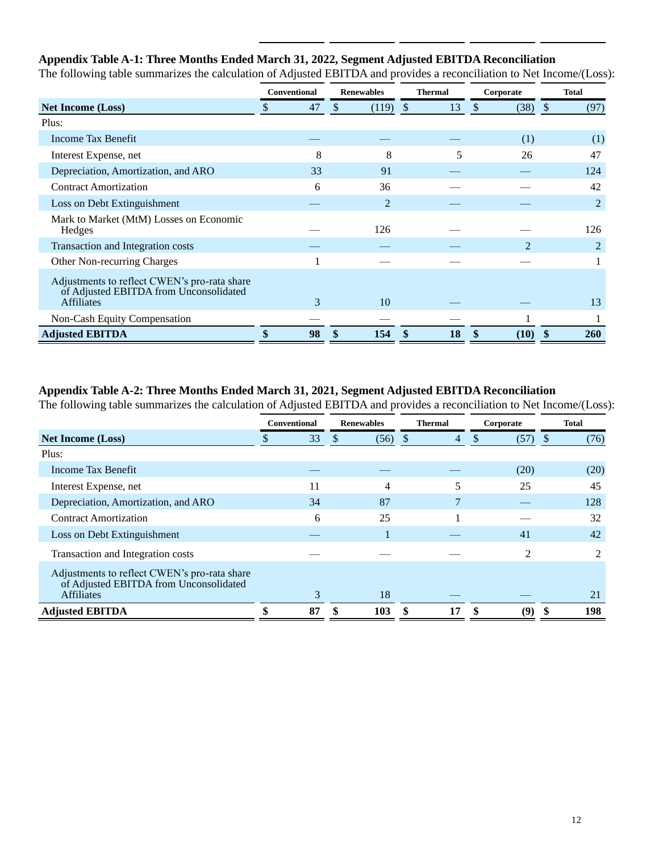# **Appendix Table A-1: Three Months Ended March 31, 2022, Segment Adjusted EBITDA Reconciliation**

|                                                                                                             | <b>Conventional</b><br><b>Renewables</b> |     | <b>Thermal</b> | Corporate |                      |            |
|-------------------------------------------------------------------------------------------------------------|------------------------------------------|-----|----------------|-----------|----------------------|------------|
| <b>Net Income (Loss)</b>                                                                                    | \$<br>47                                 | \$. | $(119)$ \$     | 13        | $\mathbb{S}$<br>(38) | (97)<br>-S |
| Plus:                                                                                                       |                                          |     |                |           |                      |            |
| Income Tax Benefit                                                                                          |                                          |     |                |           | (1)                  | (1)        |
| Interest Expense, net                                                                                       | 8                                        |     | 8              | 5         | 26                   | 47         |
| Depreciation, Amortization, and ARO                                                                         | 33                                       |     | 91             |           |                      | 124        |
| <b>Contract Amortization</b>                                                                                | 6                                        |     | 36             |           |                      | 42         |
| Loss on Debt Extinguishment                                                                                 |                                          |     | $\overline{2}$ |           |                      | 2          |
| Mark to Market (MtM) Losses on Economic<br>Hedges                                                           |                                          |     | 126            |           |                      | 126        |
| Transaction and Integration costs                                                                           |                                          |     |                |           | $\mathfrak{D}$       | 2          |
| <b>Other Non-recurring Charges</b>                                                                          |                                          |     |                |           |                      |            |
| Adjustments to reflect CWEN's pro-rata share<br>of Adjusted EBITDA from Unconsolidated<br><b>Affiliates</b> | 3                                        |     | 10             |           |                      | 13         |
| Non-Cash Equity Compensation                                                                                |                                          |     |                |           |                      |            |
| <b>Adjusted EBITDA</b>                                                                                      | 98                                       |     | 154            | 18        | (10)                 | <b>260</b> |

The following table summarizes the calculation of Adjusted EBITDA and provides a reconciliation to Net Income/(Loss):

# **Appendix Table A-2: Three Months Ended March 31, 2021, Segment Adjusted EBITDA Reconciliation**

The following table summarizes the calculation of Adjusted EBITDA and provides a reconciliation to Net Income/(Loss):

|                                                                                                             | <b>Conventional</b><br><b>Renewables</b> |    | <b>Thermal</b> | Corporate | <b>Total</b>       |                |                             |  |
|-------------------------------------------------------------------------------------------------------------|------------------------------------------|----|----------------|-----------|--------------------|----------------|-----------------------------|--|
| <b>Net Income (Loss)</b>                                                                                    |                                          | 33 | S              | (56)      | $\mathcal{S}$<br>4 | (57)<br>\$     | (76)<br><sup>8</sup>        |  |
| Plus:                                                                                                       |                                          |    |                |           |                    |                |                             |  |
| Income Tax Benefit                                                                                          |                                          |    |                |           |                    | (20)           | (20)                        |  |
| Interest Expense, net                                                                                       |                                          | 11 |                | 4         |                    | 25             | 45                          |  |
| Depreciation, Amortization, and ARO                                                                         |                                          | 34 |                | 87        |                    |                | 128                         |  |
| <b>Contract Amortization</b>                                                                                |                                          | 6  |                | 25        |                    |                | 32                          |  |
| Loss on Debt Extinguishment                                                                                 |                                          |    |                |           |                    | 41             | 42                          |  |
| Transaction and Integration costs                                                                           |                                          |    |                |           |                    | $\overline{c}$ | $\mathcal{D}_{\mathcal{L}}$ |  |
| Adjustments to reflect CWEN's pro-rata share<br>of Adjusted EBITDA from Unconsolidated<br><b>Affiliates</b> |                                          | 3  |                | 18        |                    |                | 21                          |  |
| <b>Adjusted EBITDA</b>                                                                                      |                                          | 87 |                | 103       | 17<br>\$           | (9`<br>S       | 198                         |  |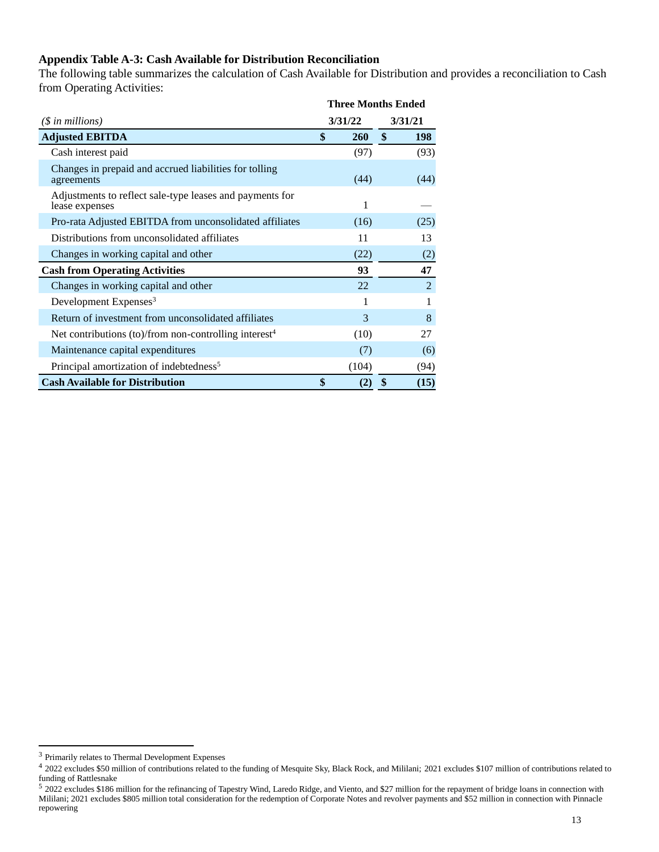# **Appendix Table A-3: Cash Available for Distribution Reconciliation**

The following table summarizes the calculation of Cash Available for Distribution and provides a reconciliation to Cash from Operating Activities:

|                                                                            | <b>Three Months Ended</b> |               |         |            |  |
|----------------------------------------------------------------------------|---------------------------|---------------|---------|------------|--|
| $(S \in \mathbb{N})$ in millions)                                          | 3/31/22                   |               | 3/31/21 |            |  |
| <b>Adjusted EBITDA</b>                                                     | \$                        | <b>260</b>    | \$      | <b>198</b> |  |
| Cash interest paid                                                         |                           | (97)          |         | (93)       |  |
| Changes in prepaid and accrued liabilities for tolling<br>agreements       |                           | (44)          |         | (44)       |  |
| Adjustments to reflect sale-type leases and payments for<br>lease expenses |                           | 1             |         |            |  |
| Pro-rata Adjusted EBITDA from unconsolidated affiliates                    |                           | (16)          |         | (25)       |  |
| Distributions from unconsolidated affiliates                               |                           | 11            |         | 13         |  |
| Changes in working capital and other                                       |                           | (22)          |         | (2)        |  |
| <b>Cash from Operating Activities</b>                                      |                           | 93            |         | 47         |  |
| Changes in working capital and other                                       |                           | 22            |         | 2          |  |
| Development Expenses <sup>3</sup>                                          |                           |               |         |            |  |
| Return of investment from unconsolidated affiliates                        |                           | $\mathcal{E}$ |         | 8          |  |
| Net contributions (to)/from non-controlling interest <sup>4</sup>          |                           | (10)          |         | 27         |  |
| Maintenance capital expenditures                                           |                           | (7)           |         | (6)        |  |
| Principal amortization of indebtedness <sup>5</sup>                        |                           | (104)         |         | (94)       |  |
| <b>Cash Available for Distribution</b>                                     | \$                        | (2)           | \$      | (15)       |  |

<sup>3</sup> Primarily relates to Thermal Development Expenses

<sup>&</sup>lt;sup>4</sup> 2022 excludes \$50 million of contributions related to the funding of Mesquite Sky, Black Rock, and Mililani; 2021 excludes \$107 million of contributions related to funding of Rattlesnake

<sup>5 2022</sup> excludes \$186 million for the refinancing of Tapestry Wind, Laredo Ridge, and Viento, and \$27 million for the repayment of bridge loans in connection with Mililani; 2021 excludes \$805 million total consideration for the redemption of Corporate Notes and revolver payments and \$52 million in connection with Pinnacle repowering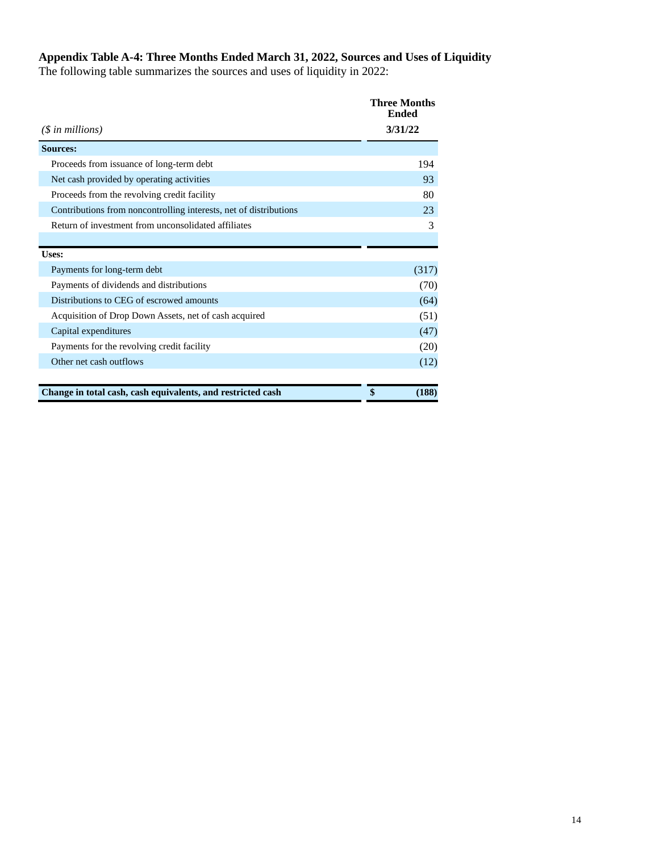## **Appendix Table A-4: Three Months Ended March 31, 2022, Sources and Uses of Liquidity**

The following table summarizes the sources and uses of liquidity in 2022:

| $(\$$ in millions)                                                | <b>Three Months</b><br><b>Ended</b><br>3/31/22 |
|-------------------------------------------------------------------|------------------------------------------------|
| <b>Sources:</b>                                                   |                                                |
| Proceeds from issuance of long-term debt                          | 194                                            |
| Net cash provided by operating activities                         | 93                                             |
| Proceeds from the revolving credit facility                       | 80                                             |
| Contributions from noncontrolling interests, net of distributions | 23                                             |
| Return of investment from unconsolidated affiliates               | 3                                              |
|                                                                   |                                                |
| Uses:                                                             |                                                |
| Payments for long-term debt                                       | (317)                                          |
| Payments of dividends and distributions                           | (70)                                           |
| Distributions to CEG of escrowed amounts                          | (64)                                           |
| Acquisition of Drop Down Assets, net of cash acquired             | (51)                                           |
| Capital expenditures                                              | (47)                                           |
| Payments for the revolving credit facility                        | (20)                                           |
| Other net cash outflows                                           | (12)                                           |
| Change in total cash, cash equivalents, and restricted cash       | \$<br>(188)                                    |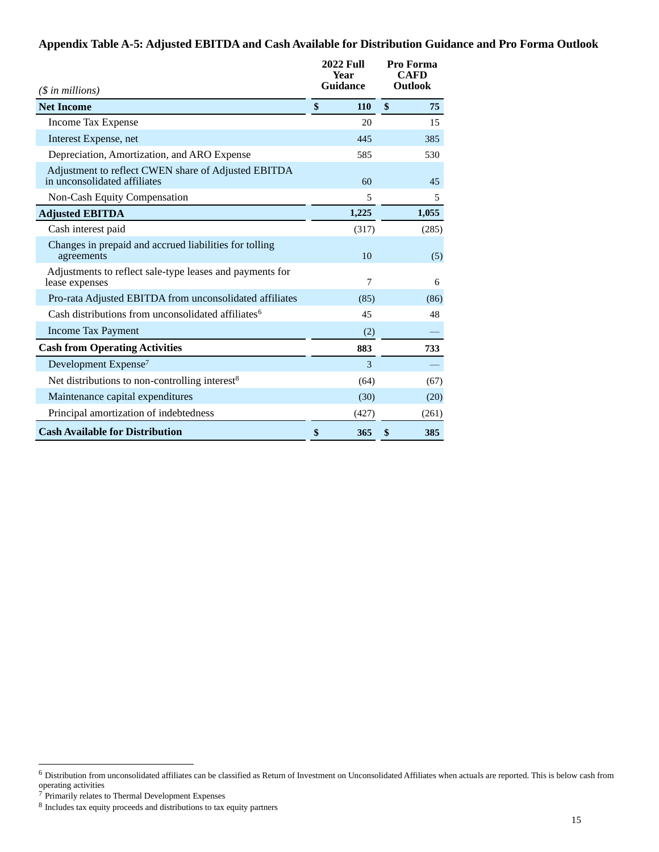# **Appendix Table A-5: Adjusted EBITDA and Cash Available for Distribution Guidance and Pro Forma Outlook**

| $($in$ millions)                                                                    |    | <b>2022 Full</b><br>Year<br><b>Guidance</b> |    | Pro Forma<br>CAFD<br>Outlook |  |
|-------------------------------------------------------------------------------------|----|---------------------------------------------|----|------------------------------|--|
| <b>Net Income</b>                                                                   | \$ | 110                                         | \$ | 75                           |  |
| Income Tax Expense                                                                  |    | 20                                          |    | 15                           |  |
| Interest Expense, net                                                               |    | 445                                         |    | 385                          |  |
| Depreciation, Amortization, and ARO Expense                                         |    | 585                                         |    | 530                          |  |
| Adjustment to reflect CWEN share of Adjusted EBITDA<br>in unconsolidated affiliates |    | 60                                          |    | 45                           |  |
| Non-Cash Equity Compensation                                                        |    | 5                                           |    | 5                            |  |
| <b>Adjusted EBITDA</b>                                                              |    | 1,225                                       |    | 1,055                        |  |
| Cash interest paid                                                                  |    | (317)                                       |    | (285)                        |  |
| Changes in prepaid and accrued liabilities for tolling<br>agreements                |    | 10                                          |    | (5)                          |  |
| Adjustments to reflect sale-type leases and payments for<br>lease expenses          |    | 7                                           |    | 6                            |  |
| Pro-rata Adjusted EBITDA from unconsolidated affiliates                             |    | (85)                                        |    | (86)                         |  |
| Cash distributions from unconsolidated affiliates <sup>6</sup>                      |    | 45                                          |    | 48                           |  |
| <b>Income Tax Payment</b>                                                           |    | (2)                                         |    |                              |  |
| <b>Cash from Operating Activities</b>                                               |    | 883                                         |    | 733                          |  |
| Development Expense <sup>7</sup>                                                    |    | 3                                           |    |                              |  |
| Net distributions to non-controlling interest <sup>8</sup>                          |    | (64)                                        |    | (67)                         |  |
| Maintenance capital expenditures                                                    |    | (30)                                        |    | (20)                         |  |
| Principal amortization of indebtedness                                              |    | (427)                                       |    | (261)                        |  |
| <b>Cash Available for Distribution</b>                                              | \$ | 365                                         | \$ | 385                          |  |

<sup>6</sup> Distribution from unconsolidated affiliates can be classified as Return of Investment on Unconsolidated Affiliates when actuals are reported. This is below cash from operating activities

 $7$  Primarily relates to Thermal Development Expenses

<sup>&</sup>lt;sup>8</sup> Includes tax equity proceeds and distributions to tax equity partners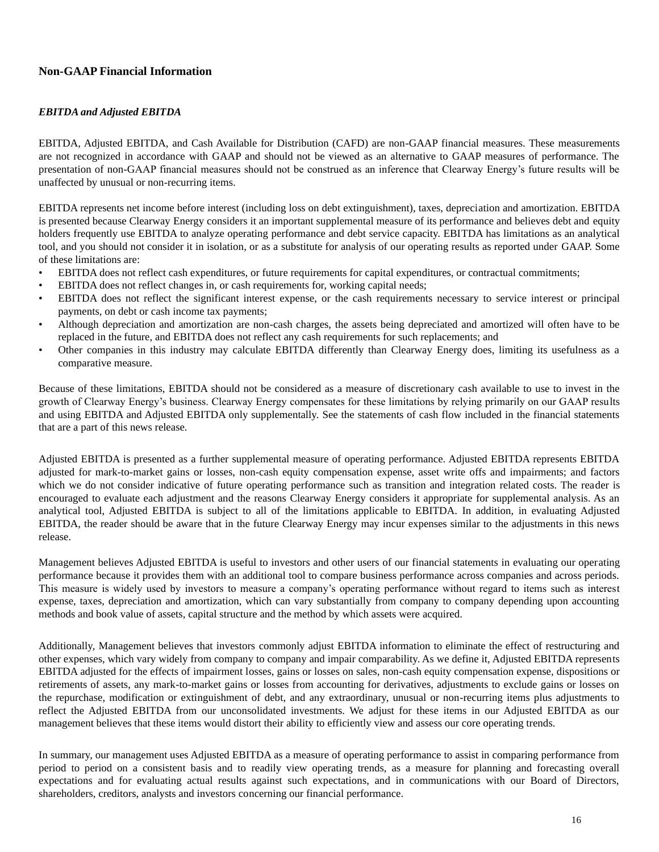# **Non-GAAP Financial Information**

### *EBITDA and Adjusted EBITDA*

EBITDA, Adjusted EBITDA, and Cash Available for Distribution (CAFD) are non-GAAP financial measures. These measurements are not recognized in accordance with GAAP and should not be viewed as an alternative to GAAP measures of performance. The presentation of non-GAAP financial measures should not be construed as an inference that Clearway Energy's future results will be unaffected by unusual or non-recurring items.

EBITDA represents net income before interest (including loss on debt extinguishment), taxes, depreciation and amortization. EBITDA is presented because Clearway Energy considers it an important supplemental measure of its performance and believes debt and equity holders frequently use EBITDA to analyze operating performance and debt service capacity. EBITDA has limitations as an analytical tool, and you should not consider it in isolation, or as a substitute for analysis of our operating results as reported under GAAP. Some of these limitations are:

- EBITDA does not reflect cash expenditures, or future requirements for capital expenditures, or contractual commitments;
- EBITDA does not reflect changes in, or cash requirements for, working capital needs;
- EBITDA does not reflect the significant interest expense, or the cash requirements necessary to service interest or principal payments, on debt or cash income tax payments;
- Although depreciation and amortization are non-cash charges, the assets being depreciated and amortized will often have to be replaced in the future, and EBITDA does not reflect any cash requirements for such replacements; and
- Other companies in this industry may calculate EBITDA differently than Clearway Energy does, limiting its usefulness as a comparative measure.

Because of these limitations, EBITDA should not be considered as a measure of discretionary cash available to use to invest in the growth of Clearway Energy's business. Clearway Energy compensates for these limitations by relying primarily on our GAAP results and using EBITDA and Adjusted EBITDA only supplementally. See the statements of cash flow included in the financial statements that are a part of this news release.

Adjusted EBITDA is presented as a further supplemental measure of operating performance. Adjusted EBITDA represents EBITDA adjusted for mark-to-market gains or losses, non-cash equity compensation expense, asset write offs and impairments; and factors which we do not consider indicative of future operating performance such as transition and integration related costs. The reader is encouraged to evaluate each adjustment and the reasons Clearway Energy considers it appropriate for supplemental analysis. As an analytical tool, Adjusted EBITDA is subject to all of the limitations applicable to EBITDA. In addition, in evaluating Adjusted EBITDA, the reader should be aware that in the future Clearway Energy may incur expenses similar to the adjustments in this news release.

Management believes Adjusted EBITDA is useful to investors and other users of our financial statements in evaluating our operating performance because it provides them with an additional tool to compare business performance across companies and across periods. This measure is widely used by investors to measure a company's operating performance without regard to items such as interest expense, taxes, depreciation and amortization, which can vary substantially from company to company depending upon accounting methods and book value of assets, capital structure and the method by which assets were acquired.

Additionally, Management believes that investors commonly adjust EBITDA information to eliminate the effect of restructuring and other expenses, which vary widely from company to company and impair comparability. As we define it, Adjusted EBITDA represents EBITDA adjusted for the effects of impairment losses, gains or losses on sales, non-cash equity compensation expense, dispositions or retirements of assets, any mark-to-market gains or losses from accounting for derivatives, adjustments to exclude gains or losses on the repurchase, modification or extinguishment of debt, and any extraordinary, unusual or non-recurring items plus adjustments to reflect the Adjusted EBITDA from our unconsolidated investments. We adjust for these items in our Adjusted EBITDA as our management believes that these items would distort their ability to efficiently view and assess our core operating trends.

In summary, our management uses Adjusted EBITDA as a measure of operating performance to assist in comparing performance from period to period on a consistent basis and to readily view operating trends, as a measure for planning and forecasting overall expectations and for evaluating actual results against such expectations, and in communications with our Board of Directors, shareholders, creditors, analysts and investors concerning our financial performance.